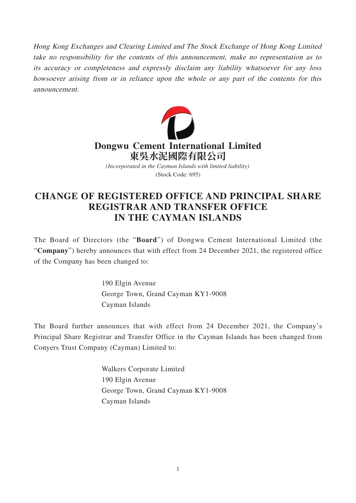Hong Kong Exchanges and Clearing Limited and The Stock Exchange of Hong Kong Limited take no responsibility for the contents of this announcement, make no representation as to its accuracy or completeness and expressly disclaim any liability whatsoever for any loss howsoever arising from or in reliance upon the whole or any part of the contents for this announcement.



## **CHANGE OF REGISTERED OFFICE AND PRINCIPAL SHARE REGISTRAR AND TRANSFER OFFICE IN THE CAYMAN ISLANDS**

The Board of Directors (the "**Board**") of Dongwu Cement International Limited (the "**Company**") hereby announces that with effect from 24 December 2021, the registered office of the Company has been changed to:

> 190 Elgin Avenue George Town, Grand Cayman KY1-9008 Cayman Islands

The Board further announces that with effect from 24 December 2021, the Company's Principal Share Registrar and Transfer Office in the Cayman Islands has been changed from Conyers Trust Company (Cayman) Limited to:

> Walkers Corporate Limited 190 Elgin Avenue George Town, Grand Cayman KY1-9008 Cayman Islands